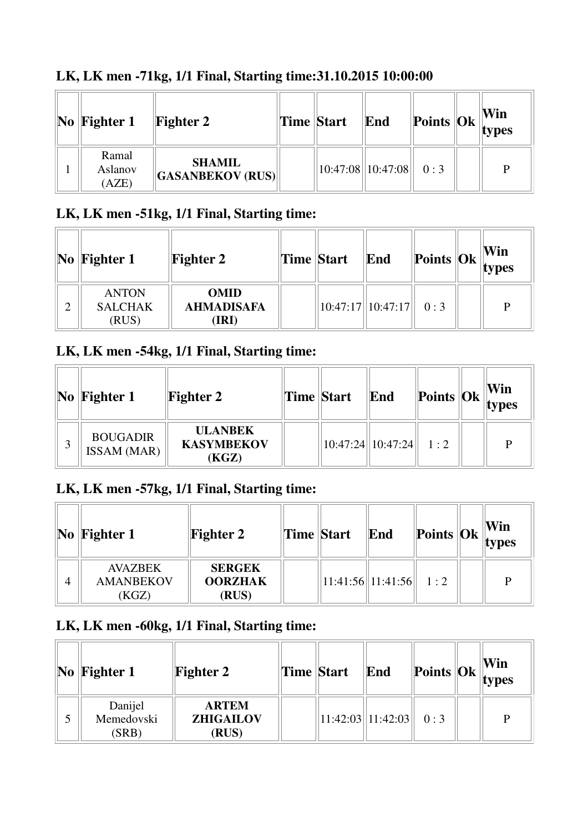| $\bf{No}$   Fighter 1     | <b>Fighter 2</b>                         | Time Start | End                           |  | Win<br>$\frac{1}{2}$ Points $\frac{1}{2}$ $\frac{1}{2}$ $\frac{1}{2}$ $\frac{1}{2}$ $\frac{1}{2}$ $\frac{1}{2}$ $\frac{1}{2}$ $\frac{1}{2}$ $\frac{1}{2}$ $\frac{1}{2}$ $\frac{1}{2}$ $\frac{1}{2}$ $\frac{1}{2}$ $\frac{1}{2}$ $\frac{1}{2}$ $\frac{1}{2}$ $\frac{1}{2}$ $\frac{1}{2}$ $\frac{1}{2}$ $\frac{1}{2}$ $\frac{$ |
|---------------------------|------------------------------------------|------------|-------------------------------|--|------------------------------------------------------------------------------------------------------------------------------------------------------------------------------------------------------------------------------------------------------------------------------------------------------------------------------|
| Ramal<br>Aslanov<br>(AZE) | <b>SHAMIL</b><br><b>GASANBEKOV (RUS)</b> |            | $10:47:08$   10:47:08   0 : 3 |  | D                                                                                                                                                                                                                                                                                                                            |

# **LK, LK men -71kg, 1/1 Final, Starting time:31.10.2015 10:00:00**

# **LK, LK men -51kg, 1/1 Final, Starting time:**

| $\bf{No}$  Fighter 1                    | <b>Fighter 2</b>                          | Time Start | End                           |  | Win<br>$\left\Vert \mathbf{Points} \right\Vert \mathbf{Ok} \left\Vert \mathbf{v}\right\Vert$ |
|-----------------------------------------|-------------------------------------------|------------|-------------------------------|--|----------------------------------------------------------------------------------------------|
| <b>ANTON</b><br><b>SALCHAK</b><br>(RUS) | <b>OMID</b><br><b>AHMADISAFA</b><br>(IRI) |            | $10:47:17$   10:47:17   0 : 3 |  | D                                                                                            |

#### **LK, LK men -54kg, 1/1 Final, Starting time:**

| $\bf{No}$   Fighter 1                 | <b>Fighter 2</b>                             | Time Start | End                           | Points $\ Ok\ _{\text{types}}^{\text{num}}$ | Win |
|---------------------------------------|----------------------------------------------|------------|-------------------------------|---------------------------------------------|-----|
| <b>BOUGADIR</b><br><b>ISSAM</b> (MAR) | <b>ULANBEK</b><br><b>KASYMBEKOV</b><br>(KGZ) |            | $10:47:24$   10:47:24   1 : 2 |                                             |     |

#### **LK, LK men -57kg, 1/1 Final, Starting time:**

| $\bf{No}$ Fighter 1                         | <b>Fighter 2</b>                         | Time Start | End                     |  | Win<br>$\left\Vert \mathbf{Points} \right\Vert \mathbf{Ok} \left\Vert \mathbf{types} \right\Vert$ |
|---------------------------------------------|------------------------------------------|------------|-------------------------|--|---------------------------------------------------------------------------------------------------|
| <b>AVAZBEK</b><br><b>AMANBEKOV</b><br>(KGZ) | <b>SERGEK</b><br><b>OORZHAK</b><br>(RUS) |            | 11:41:56  11:41:56  1:2 |  | P                                                                                                 |

#### **LK, LK men -60kg, 1/1 Final, Starting time:**

| $\bf{No}$ Fighter 1            | <b>Fighter 2</b>                          | Time Start | End                           |  | Win<br>$\left\Vert \mathbf{Points} \right\Vert \mathbf{Ok} \left\Vert \mathbf{types} \right\Vert$ |
|--------------------------------|-------------------------------------------|------------|-------------------------------|--|---------------------------------------------------------------------------------------------------|
| Danijel<br>Memedovski<br>(SRB) | <b>ARTEM</b><br><b>ZHIGAILOV</b><br>(RUS) |            | $11:42:03$   11:42:03   0 : 3 |  | D                                                                                                 |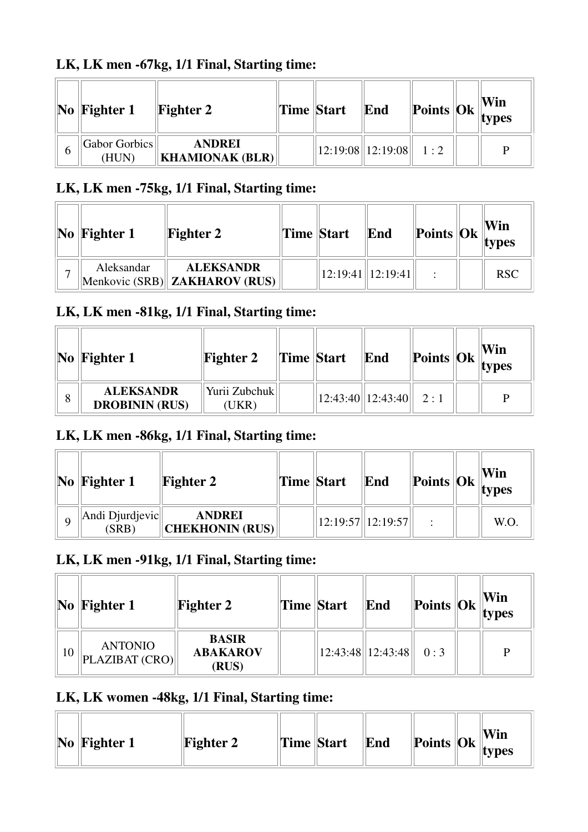# **LK, LK men -67kg, 1/1 Final, Starting time:**

|   | $\bf{No}$   Fighter 1  | <b>Fighter 2</b>                        | <b>Time Start</b> | End                           |  | Win<br>$\  \textbf{Points} \  \textbf{Ok} \ _{\textbf{types}}$ |
|---|------------------------|-----------------------------------------|-------------------|-------------------------------|--|----------------------------------------------------------------|
| O | Gabor Gorbics<br>(HUN) | <b>ANDREI</b><br><b>KHAMIONAK (BLR)</b> |                   | $12:19:08$   12:19:08   1 : 2 |  |                                                                |

### **LK, LK men -75kg, 1/1 Final, Starting time:**

| $\vert\mathbf{No}\vert\mathbf{Figure 1}$ | <b>Fighter 2</b>                                   | Time Start | End                   | $\left\Vert \text{Points} \right\Vert_{\text{types}}^{\text{VIII}}$ | Win        |
|------------------------------------------|----------------------------------------------------|------------|-----------------------|---------------------------------------------------------------------|------------|
| Aleksandar                               | <b>ALEKSANDR</b><br>Menkovic (SRB)  ZAKHAROV (RUS) |            | $12:19:41$   12:19:41 |                                                                     | <b>RSC</b> |

## **LK, LK men -81kg, 1/1 Final, Starting time:**

|   | $\vert\mathbf{No}\vert\mathbf{Figure 1}$  | <b>Fighter 2</b>       | <b>Time</b> Start | End                            |  | Win<br>$\left\Vert \mathbf{Points} \right\Vert \mathbf{Ok} \left\Vert _{\mathbf{types}} \right\Vert$ |
|---|-------------------------------------------|------------------------|-------------------|--------------------------------|--|------------------------------------------------------------------------------------------------------|
| 8 | <b>ALEKSANDR</b><br><b>DROBININ (RUS)</b> | Yurii Zubchuk<br>(UKR) |                   | $\ 12:43:40\ 12:43:40\ $ 2 : 1 |  | D                                                                                                    |

### **LK, LK men -86kg, 1/1 Final, Starting time:**

|   | $\vert$ No $\vert$ Fighter 1 | <b>Fighter 2</b>                        | <b>Time Start</b> | End                | $\left\Vert \text{Points} \right\Vert \text{Ok} \left\Vert \text{max} \right\Vert$ | Win<br>types |
|---|------------------------------|-----------------------------------------|-------------------|--------------------|------------------------------------------------------------------------------------|--------------|
| Q | Andi Djurdjevic<br>(SRB)     | <b>ANDREI</b><br><b>CHEKHONIN (RUS)</b> |                   | 12:19:57  12:19:57 |                                                                                    | W.O.         |

### **LK, LK men -91kg, 1/1 Final, Starting time:**

|    | $\bf{No}$ Fighter 1              | <b>Fighter 2</b>                         | <b>Time Start</b> | End                   |     | Win<br>$\left\Vert \mathbf{Points}\right\Vert \mathbf{Ok}\left\Vert \mathbf{types}\right\Vert$ |
|----|----------------------------------|------------------------------------------|-------------------|-----------------------|-----|------------------------------------------------------------------------------------------------|
| 10 | <b>ANTONIO</b><br>PLAZIBAT (CRO) | <b>BASIR</b><br><b>ABAKAROV</b><br>(RUS) |                   | $12:43:48$   12:43:48 | 0:3 | D                                                                                              |

#### **LK, LK women -48kg, 1/1 Final, Starting time:**

|  | $\vert$ No $\vert$ Fighter 1 | <b>Fighter 2</b> | Time Start |  | End | $\left\Vert \mathbf{Points}\right\Vert \mathbf{Ok}\left\Vert \mathbf{R}\right\Vert$ |  | Win<br>types |  |
|--|------------------------------|------------------|------------|--|-----|-------------------------------------------------------------------------------------|--|--------------|--|
|--|------------------------------|------------------|------------|--|-----|-------------------------------------------------------------------------------------|--|--------------|--|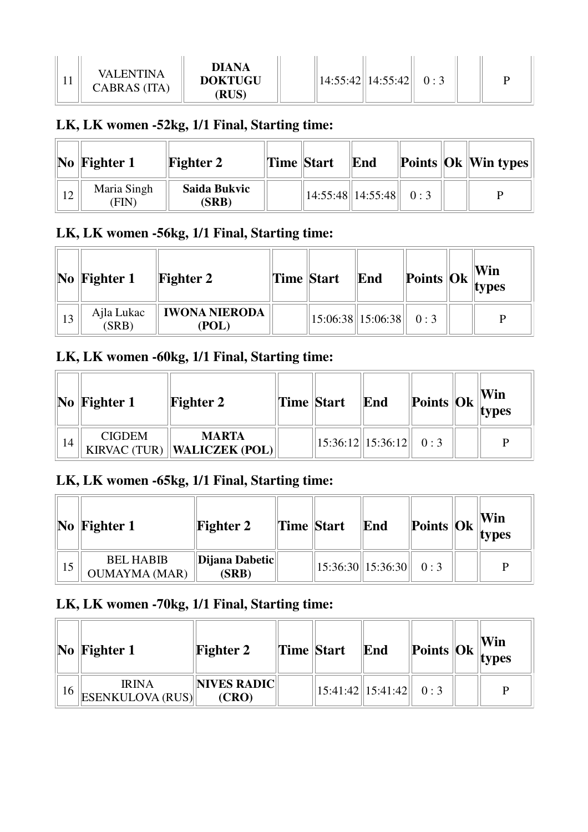| TT. | VALENTINA<br>CABRAS (ITA) | <b>DIANA</b><br><b>DOKTUGU</b><br>(RUS) |  |  | 14:55:42  14:55:42 |  |  |  |
|-----|---------------------------|-----------------------------------------|--|--|--------------------|--|--|--|
|-----|---------------------------|-----------------------------------------|--|--|--------------------|--|--|--|

#### **LK, LK women -52kg, 1/1 Final, Starting time:**

|    | $\vert$ No $\vert$ Fighter 1 | <b>Fighter 2</b>      | Time Start | End                     |  | <b>Points Ok Win types</b> |
|----|------------------------------|-----------------------|------------|-------------------------|--|----------------------------|
| 12 | Maria Singh<br>(FIN          | Saida Bukvic<br>(SRB) |            | 14:55:48  14:55:48  0:3 |  | D                          |

#### **LK, LK women -56kg, 1/1 Final, Starting time:**

|    | $\bf{No}$ Fighter 1 | <b>Fighter 2</b>       | Time Start | End                                                                            |  | Win<br>$\blacksquare$  Points  Ok   vers |
|----|---------------------|------------------------|------------|--------------------------------------------------------------------------------|--|------------------------------------------|
| 13 | Ajla Lukac<br>(SRB) | IWONA NIERODA<br>(POL) |            | $\begin{array}{ c c c c c c c c } \hline 15:06:38 & 0:3 \\ \hline \end{array}$ |  | D                                        |

#### **LK, LK women -60kg, 1/1 Final, Starting time:**

|    | $\vert\mathbf{No}\vert\mathbf{Figure 1}$ | <b>Fighter 2</b>                              | Time Start | End                           |  | Win<br>$\ $ Points $\ $ Ok $\ $ types |
|----|------------------------------------------|-----------------------------------------------|------------|-------------------------------|--|---------------------------------------|
| 14 | <b>CIGDEM</b>                            | <b>MARTA</b><br>KIRVAC (TUR)   WALICZEK (POL) |            | $15:36:12$   15:36:12   0 : 3 |  |                                       |

#### **LK, LK women -65kg, 1/1 Final, Starting time:**

|    | $\vert\mathbf{No}\vert\mathbf{Figure 1}$ | <b>Fighter 2</b>        | Time Start | End                           |  | Win<br><b>Example 1</b>   <b>Points</b> $\left \n\begin{array}{ccc}\n\textbf{Ok} \\ \textbf{types}\n\end{array}\n\right $ |
|----|------------------------------------------|-------------------------|------------|-------------------------------|--|---------------------------------------------------------------------------------------------------------------------------|
| 15 | <b>BEL HABIB</b><br><b>OUMAYMA (MAR)</b> | Dijana Dabetic<br>(SRB) |            | $15:36:30$   15:36:30   0 : 3 |  |                                                                                                                           |

# **LK, LK women -70kg, 1/1 Final, Starting time:**

|    | $\vert$ No $\vert$ Fighter 1            | <b>Fighter 2</b>     | Time Start | End                           | Points $\begin{bmatrix} 0k \\ \text{types} \end{bmatrix}$ | Win |
|----|-----------------------------------------|----------------------|------------|-------------------------------|-----------------------------------------------------------|-----|
| 16 | <b>IRINA</b><br><b>ESENKULOVA (RUS)</b> | NIVES RADIC<br>(CRO) |            | $15:41:42$   15:41:42   0 : 3 |                                                           |     |